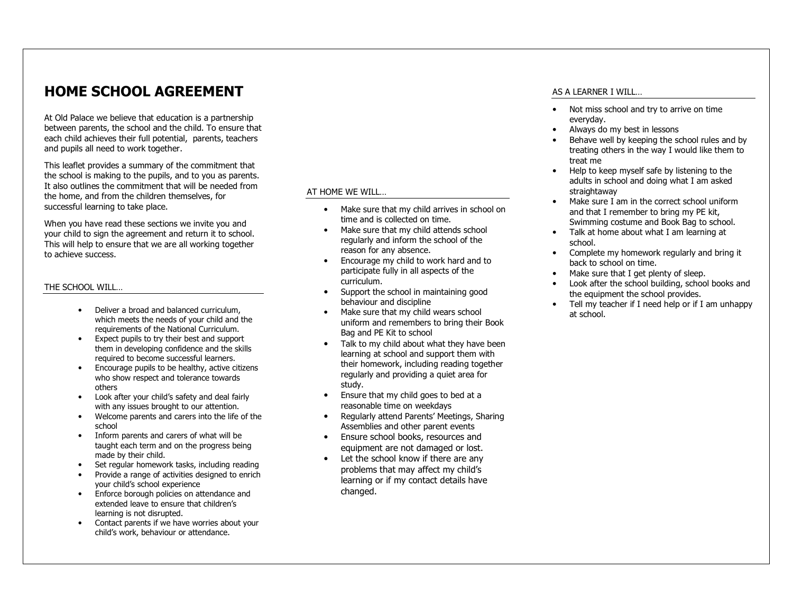# HOME SCHOOL AGREEMENT

At Old Palace we believe that education is a partnership between parents, the school and the child. To ensure that each child achieves their full potential, parents, teachers and pupils all need to work together.

This leaflet provides a summary of the commitment that the school is making to the pupils, and to you as parents. It also outlines the commitment that will be needed from the home, and from the children themselves, for successful learning to take place.

When you have read these sections we invite you and your child to sign the agreement and return it to school. This will help to ensure that we are all working together to achieve success.

#### THE SCHOOL WILL…

- Deliver a broad and balanced curriculum, which meets the needs of your child and the requirements of the National Curriculum.
- Expect pupils to try their best and support them in developing confidence and the skills required to become successful learners.
- Encourage pupils to be healthy, active citizens who show respect and tolerance towards others
- Look after your child's safety and deal fairly with any issues brought to our attention.
- Welcome parents and carers into the life of the •school
- Inform parents and carers of what will be taught each term and on the progress being made by their child.
- Set regular homework tasks, including reading
- Provide a range of activities designed to enrich your child's school experience
- Enforce borough policies on attendance and extended leave to ensure that children's learning is not disrupted.
- Contact parents if we have worries about your child's work, behaviour or attendance.

#### AT HOME WE WILL…

- • Make sure that my child arrives in school on time and is collected on time.
- Make sure that my child attends school •regularly and inform the school of the reason for any absence.
- Encourage my child to work hard and to •participate fully in all aspects of the curriculum.
- Support the school in maintaining good behaviour and discipline
- Make sure that my child wears school •uniform and remembers to bring their Book Bag and PE Kit to school
- Talk to my child about what they have been learning at school and support them with their homework, including reading together regularly and providing a quiet area for study.
- Ensure that my child goes to bed at a reasonable time on weekdays
- Regularly attend Parents' Meetings, Sharing •Assemblies and other parent events
- <sup>E</sup>nsure school books, resources and equipment are not damaged or lost.
- Let the school know if there are any problems that may affect my child's learning or if my contact details have changed.

#### AS A LEARNER I WILL…

- Not miss school and try to arrive on time everyday.
- Always do my best in lessons •
- • Behave well by keeping the school rules and by treating others in the way I would like them to treat me
- Help to keep myself safe by listening to the •adults in school and doing what I am asked straightaway
- Make sure I am in the correct school uniform •and that I remember to bring my PE kit, Swimming costume and Book Bag to school.
- Talk at home about what I am learning at school.
- Complete my homework regularly and bring it •back to school on time.
- Make sure that I get plenty of sleep.
- • Look after the school building, school books and the equipment the school provides.
- Tell my teacher if I need help or if I am unhappy at school.